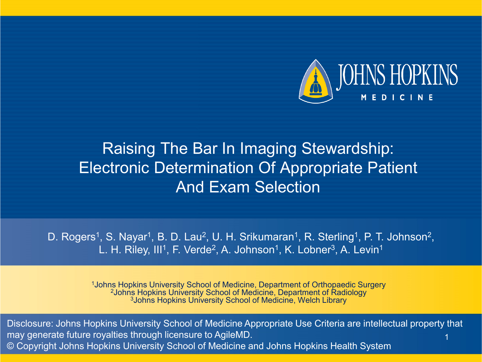

### Raising The Bar In Imaging Stewardship: Electronic Determination Of Appropriate Patient And Exam Selection

D. Rogers<sup>1</sup>, S. Nayar<sup>1</sup>, B. D. Lau<sup>2</sup>, U. H. Srikumaran<sup>1</sup>, R. Sterling<sup>1</sup>, P. T. Johnson<sup>2</sup>, L. H. Riley, III<sup>1</sup>, F. Verde<sup>2</sup>, A. Johnson<sup>1</sup>, K. Lobner<sup>3</sup>, A. Levin<sup>1</sup>

1Johns Hopkins University School of Medicine, Department of Orthopaedic Surgery 2Johns Hopkins University School of Medicine, Department of Radiology 3Johns Hopkins University School of Medicine, Welch Library

1 Disclosure: Johns Hopkins University School of Medicine Appropriate Use Criteria are intellectual property that may generate future royalties through licensure to AgileMD. © Copyright Johns Hopkins University School of Medicine and Johns Hopkins Health System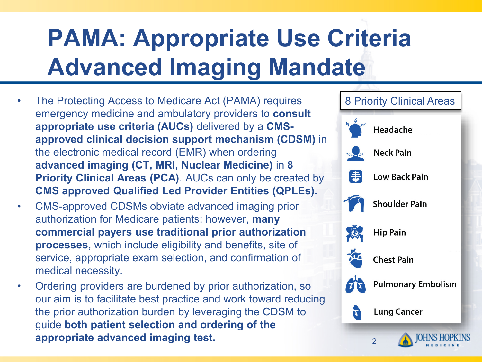# **PAMA: Appropriate Use Criteria Advanced Imaging Mandate**

- The Protecting Access to Medicare Act (PAMA) requires emergency medicine and ambulatory providers to **consult appropriate use criteria (AUCs)** delivered by a **CMSapproved clinical decision support mechanism (CDSM)** in the electronic medical record (EMR) when ordering **advanced imaging (CT, MRI, Nuclear Medicine)** in **8 Priority Clinical Areas (PCA)**. AUCs can only be created by **CMS approved Qualified Led Provider Entities (QPLEs).**
- CMS-approved CDSMs obviate advanced imaging prior authorization for Medicare patients; however, **many commercial payers use traditional prior authorization processes,** which include eligibility and benefits, site of service, appropriate exam selection, and confirmation of medical necessity.
- Ordering providers are burdened by prior authorization, so our aim is to facilitate best practice and work toward reducing the prior authorization burden by leveraging the CDSM to guide **both patient selection and ordering of the appropriate advanced imaging test. 2008**

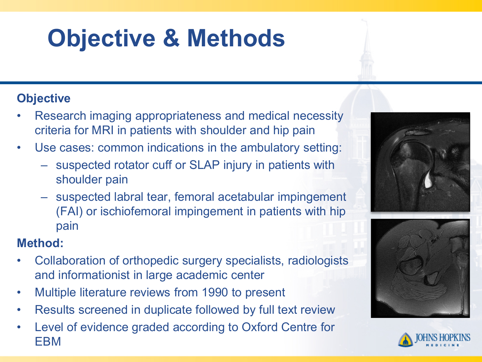# **Objective & Methods**

### **Objective**

- Research imaging appropriateness and medical necessity criteria for MRI in patients with shoulder and hip pain
- Use cases: common indications in the ambulatory setting:
	- suspected rotator cuff or SLAP injury in patients with shoulder pain
	- suspected labral tear, femoral acetabular impingement (FAI) or ischiofemoral impingement in patients with hip pain

### **Method:**

- Collaboration of orthopedic surgery specialists, radiologists and informationist in large academic center
- Multiple literature reviews from 1990 to present
- Results screened in duplicate followed by full text review
- Level of evidence graded according to Oxford Centre for EBM





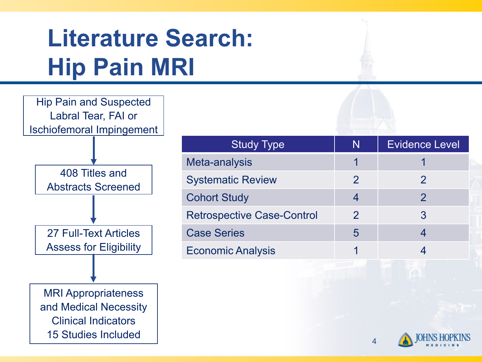### **Literature Search: Hip Pain MRI**



| <b>Study Type</b>                 | N            | <b>Evidence Level</b> |
|-----------------------------------|--------------|-----------------------|
| Meta-analysis                     |              |                       |
| <b>Systematic Review</b>          | $\mathcal P$ | 2                     |
| <b>Cohort Study</b>               | 4            | $\mathcal{P}$         |
| <b>Retrospective Case-Control</b> | 2            | 3                     |
| <b>Case Series</b>                | 5            |                       |
| <b>Economic Analysis</b>          |              |                       |
|                                   |              |                       |

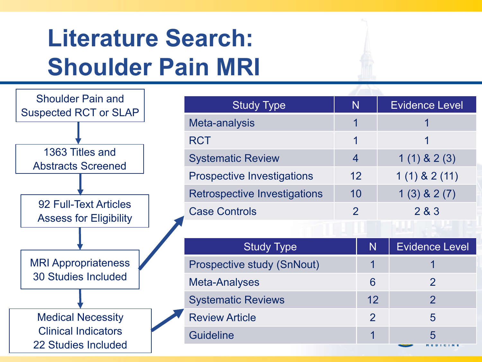### **Literature Search: Shoulder Pain MRI**

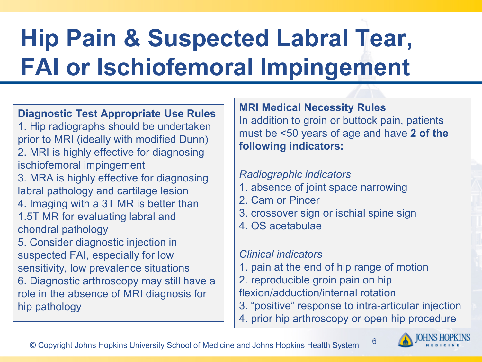# **Hip Pain & Suspected Labral Tear, FAI or Ischiofemoral Impingement**

**Diagnostic Test Appropriate Use Rules** 1. Hip radiographs should be undertaken prior to MRI (ideally with modified Dunn) 2. MRI is highly effective for diagnosing ischiofemoral impingement 3. MRA is highly effective for diagnosing labral pathology and cartilage lesion 4. Imaging with a 3T MR is better than 1.5T MR for evaluating labral and chondral pathology 5. Consider diagnostic injection in suspected FAI, especially for low sensitivity, low prevalence situations 6. Diagnostic arthroscopy may still have a role in the absence of MRI diagnosis for hip pathology

**MRI Medical Necessity Rules** In addition to groin or buttock pain, patients must be <50 years of age and have **2 of the following indicators:**

#### *Radiographic indicators*

- 1. absence of joint space narrowing
- 2. Cam or Pincer
- 3. crossover sign or ischial spine sign
- 4. OS acetabulae

#### *Clinical indicators*

- 1. pain at the end of hip range of motion
- 2. reproducible groin pain on hip
- flexion/adduction/internal rotation
- 3. "positive" response to intra-articular injection

6

4. prior hip arthroscopy or open hip procedure

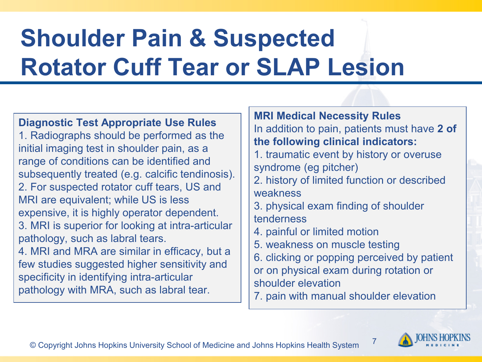# **Shoulder Pain & Suspected Rotator Cuff Tear or SLAP Lesion**

**Diagnostic Test Appropriate Use Rules** 1. Radiographs should be performed as the initial imaging test in shoulder pain, as a range of conditions can be identified and subsequently treated (e.g. calcific tendinosis). 2. For suspected rotator cuff tears, US and MRI are equivalent; while US is less expensive, it is highly operator dependent. 3. MRI is superior for looking at intra-articular pathology, such as labral tears. 4. MRI and MRA are similar in efficacy, but a few studies suggested higher sensitivity and specificity in identifying intra-articular pathology with MRA, such as labral tear.

**MRI Medical Necessity Rules** In addition to pain, patients must have **2 of the following clinical indicators:**

- 1. traumatic event by history or overuse syndrome (eg pitcher)
- 2. history of limited function or described weakness
- 3. physical exam finding of shoulder tenderness
- 4. painful or limited motion
- 5. weakness on muscle testing
- 6. clicking or popping perceived by patient or on physical exam during rotation or shoulder elevation
- 7. pain with manual shoulder elevation



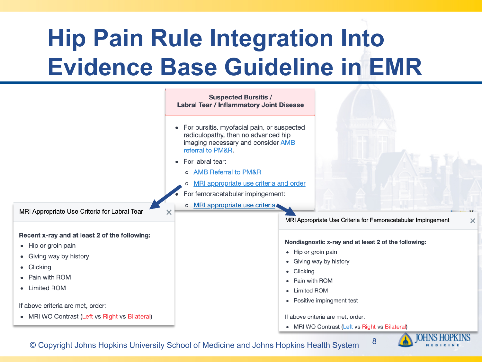# **Hip Pain Rule Integration Into Evidence Base Guideline in EMR**



<sup>8</sup> © Copyright Johns Hopkins University School of Medicine and Johns Hopkins Health System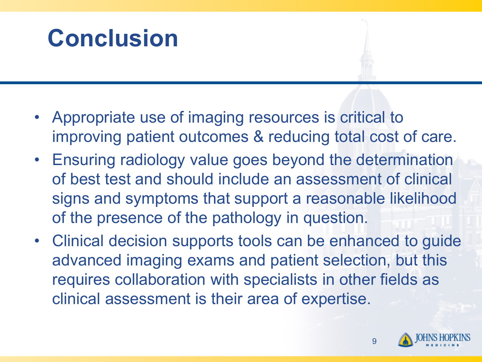### **Conclusion**

- Appropriate use of imaging resources is critical to improving patient outcomes & reducing total cost of care.
- Ensuring radiology value goes beyond the determination of best test and should include an assessment of clinical signs and symptoms that support a reasonable likelihood of the presence of the pathology in question.
- Clinical decision supports tools can be enhanced to guide advanced imaging exams and patient selection, but this requires collaboration with specialists in other fields as clinical assessment is their area of expertise.